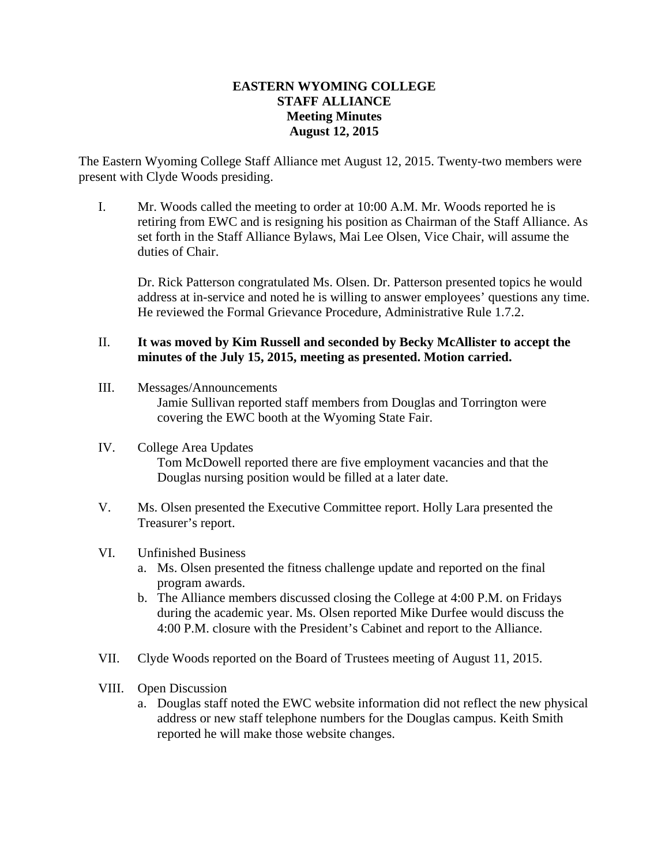## **EASTERN WYOMING COLLEGE STAFF ALLIANCE Meeting Minutes August 12, 2015**

The Eastern Wyoming College Staff Alliance met August 12, 2015. Twenty-two members were present with Clyde Woods presiding.

I. Mr. Woods called the meeting to order at 10:00 A.M. Mr. Woods reported he is retiring from EWC and is resigning his position as Chairman of the Staff Alliance. As set forth in the Staff Alliance Bylaws, Mai Lee Olsen, Vice Chair, will assume the duties of Chair.

Dr. Rick Patterson congratulated Ms. Olsen. Dr. Patterson presented topics he would address at in-service and noted he is willing to answer employees' questions any time. He reviewed the Formal Grievance Procedure, Administrative Rule 1.7.2.

## II. **It was moved by Kim Russell and seconded by Becky McAllister to accept the minutes of the July 15, 2015, meeting as presented. Motion carried.**

- III. Messages/Announcements Jamie Sullivan reported staff members from Douglas and Torrington were covering the EWC booth at the Wyoming State Fair.
- IV. College Area Updates Tom McDowell reported there are five employment vacancies and that the Douglas nursing position would be filled at a later date.
- V. Ms. Olsen presented the Executive Committee report. Holly Lara presented the Treasurer's report.

## VI. Unfinished Business

- a. Ms. Olsen presented the fitness challenge update and reported on the final program awards.
- b. The Alliance members discussed closing the College at 4:00 P.M. on Fridays during the academic year. Ms. Olsen reported Mike Durfee would discuss the 4:00 P.M. closure with the President's Cabinet and report to the Alliance.
- VII. Clyde Woods reported on the Board of Trustees meeting of August 11, 2015.
- VIII. Open Discussion
	- a. Douglas staff noted the EWC website information did not reflect the new physical address or new staff telephone numbers for the Douglas campus. Keith Smith reported he will make those website changes.